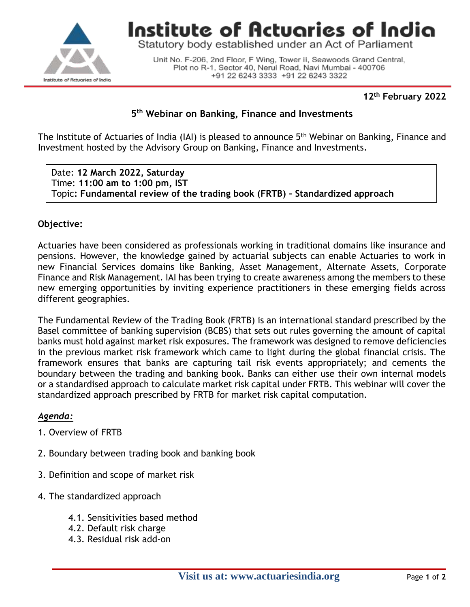

Institute of Actuaries of India

Statutory body established under an Act of Parliament

Unit No. F-206, 2nd Floor, F Wing, Tower II, Seawoods Grand Central, Plot no R-1, Sector 40, Nerul Road, Navi Mumbai - 400706 +91 22 6243 3333 +91 22 6243 3322

# **12th February 2022**

# **5 th Webinar on Banking, Finance and Investments**

The Institute of Actuaries of India (IAI) is pleased to announce 5<sup>th</sup> Webinar on Banking, Finance and Investment hosted by the Advisory Group on Banking, Finance and Investments.

Date: **12 March 2022, Saturday** Time: **11:00 am to 1:00 pm, IST** Topic**: Fundamental review of the trading book (FRTB) – Standardized approach**

### **Objective:**

Actuaries have been considered as professionals working in traditional domains like insurance and pensions. However, the knowledge gained by actuarial subjects can enable Actuaries to work in new Financial Services domains like Banking, Asset Management, Alternate Assets, Corporate Finance and Risk Management. IAI has been trying to create awareness among the members to these new emerging opportunities by inviting experience practitioners in these emerging fields across different geographies.

The Fundamental Review of the Trading Book (FRTB) is an international standard prescribed by the Basel committee of banking supervision (BCBS) that sets out rules governing the amount of capital banks must hold against market risk exposures. The framework was designed to remove deficiencies in the previous market risk framework which came to light during the global financial crisis. The framework ensures that banks are capturing tail risk events appropriately; and cements the boundary between the trading and banking book. Banks can either use their own internal models or a standardised approach to calculate market risk capital under FRTB. This webinar will cover the standardized approach prescribed by FRTB for market risk capital computation.

#### *Agenda:*

- 1. Overview of FRTB
- 2. Boundary between trading book and banking book
- 3. Definition and scope of market risk
- 4. The standardized approach
	- 4.1. Sensitivities based method
	- 4.2. Default risk charge
	- 4.3. Residual risk add-on